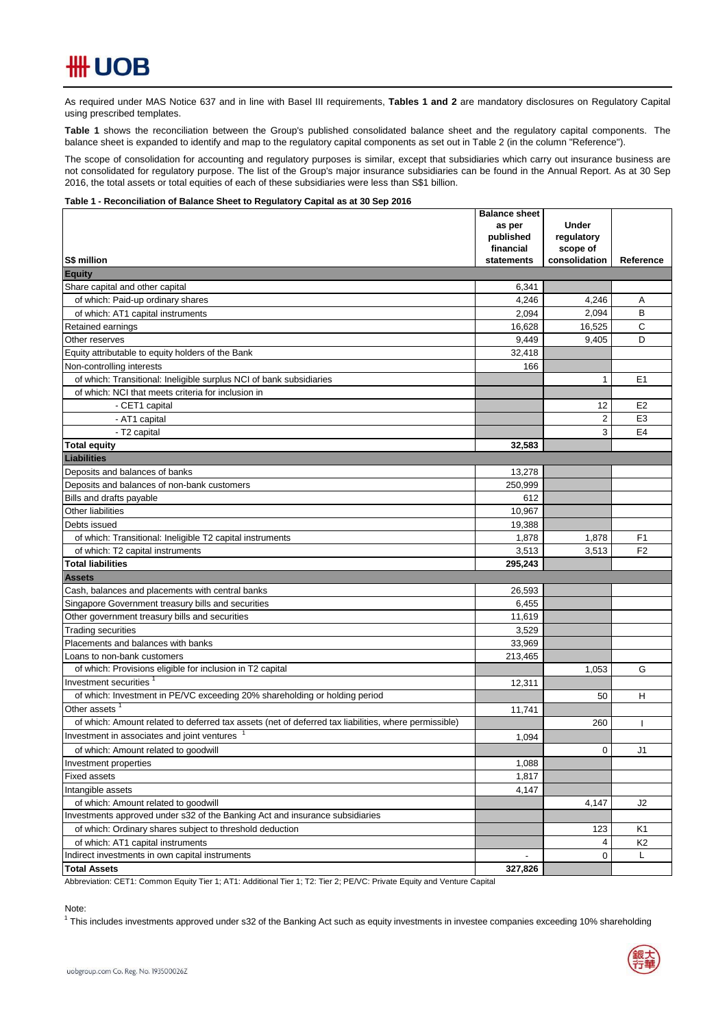# **HH UOB**

As required under MAS Notice 637 and in line with Basel III requirements, Tables 1 and 2 are mandatory disclosures on Regulatory Capital using prescribed templates.

**Table 1** shows the reconciliation between the Group's published consolidated balance sheet and the regulatory capital components. The balance sheet is expanded to identify and map to the regulatory capital components as set out in Table 2 (in the column "Reference").

The scope of consolidation for accounting and regulatory purposes is similar, except that subsidiaries which carry out insurance business are not consolidated for regulatory purpose. The list of the Group's major insurance subsidiaries can be found in the Annual Report. As at 30 Sep 2016, the total assets or total equities of each of these subsidiaries were less than S\$1 billion.

#### **Table 1 - Reconciliation of Balance Sheet to Regulatory Capital as at 30 Sep 2016**

|                                                                                                      | <b>Balance sheet</b> |                            |                |
|------------------------------------------------------------------------------------------------------|----------------------|----------------------------|----------------|
|                                                                                                      | as per<br>published  | <b>Under</b><br>regulatory |                |
|                                                                                                      | financial            | scope of                   |                |
| <b>S\$ million</b>                                                                                   | statements           | consolidation              | Reference      |
| <b>Equity</b>                                                                                        |                      |                            |                |
| Share capital and other capital                                                                      | 6,341                |                            |                |
| of which: Paid-up ordinary shares                                                                    | 4,246                | 4,246                      | Α              |
| of which: AT1 capital instruments                                                                    | 2,094                | 2,094                      | B              |
| Retained earnings                                                                                    | 16,628               | 16,525                     | С              |
| Other reserves                                                                                       | 9,449                | 9,405                      | D              |
| Equity attributable to equity holders of the Bank                                                    | 32,418               |                            |                |
| Non-controlling interests                                                                            | 166                  |                            |                |
| of which: Transitional: Ineligible surplus NCI of bank subsidiaries                                  |                      | 1                          | E1             |
| of which: NCI that meets criteria for inclusion in                                                   |                      |                            |                |
| - CET1 capital                                                                                       |                      | 12                         | E <sub>2</sub> |
| - AT1 capital                                                                                        |                      | $\overline{2}$             | E <sub>3</sub> |
| - T2 capital                                                                                         |                      | 3                          | E4             |
| <b>Total equity</b>                                                                                  | 32,583               |                            |                |
| <b>Liabilities</b>                                                                                   |                      |                            |                |
| Deposits and balances of banks                                                                       | 13,278               |                            |                |
| Deposits and balances of non-bank customers                                                          | 250,999              |                            |                |
| Bills and drafts payable                                                                             | 612                  |                            |                |
| Other liabilities                                                                                    | 10.967               |                            |                |
| Debts issued                                                                                         | 19,388               |                            |                |
| of which: Transitional: Ineligible T2 capital instruments                                            | 1,878                | 1,878                      | F <sub>1</sub> |
| of which: T2 capital instruments                                                                     | 3,513                | 3,513                      | F <sub>2</sub> |
| <b>Total liabilities</b>                                                                             | 295,243              |                            |                |
| <b>Assets</b>                                                                                        |                      |                            |                |
| Cash, balances and placements with central banks                                                     | 26,593               |                            |                |
| Singapore Government treasury bills and securities                                                   | 6,455                |                            |                |
| Other government treasury bills and securities                                                       | 11,619               |                            |                |
| <b>Trading securities</b>                                                                            | 3,529                |                            |                |
| Placements and balances with banks                                                                   | 33,969               |                            |                |
| Loans to non-bank customers                                                                          | 213,465              |                            |                |
| of which: Provisions eligible for inclusion in T2 capital                                            |                      | 1,053                      | G              |
| Investment securities <sup>1</sup>                                                                   | 12,311               |                            |                |
| of which: Investment in PE/VC exceeding 20% shareholding or holding period                           |                      | 50                         | н              |
| Other assets                                                                                         | 11,741               |                            |                |
| of which: Amount related to deferred tax assets (net of deferred tax liabilities, where permissible) |                      | 260                        |                |
| Investment in associates and joint ventures                                                          | 1,094                |                            |                |
| of which: Amount related to goodwill                                                                 |                      | $\mathbf 0$                | J1             |
| Investment properties                                                                                | 1,088                |                            |                |
| <b>Fixed assets</b>                                                                                  | 1,817                |                            |                |
| Intangible assets                                                                                    | 4,147                |                            |                |
| of which: Amount related to goodwill                                                                 |                      | 4,147                      | J2             |
| Investments approved under s32 of the Banking Act and insurance subsidiaries                         |                      |                            |                |
| of which: Ordinary shares subject to threshold deduction                                             |                      | 123                        | K1             |
| of which: AT1 capital instruments                                                                    |                      | 4                          | K <sub>2</sub> |
| Indirect investments in own capital instruments                                                      |                      | 0                          | Г              |
| <b>Total Assets</b>                                                                                  | 327,826              |                            |                |

Abbreviation: CET1: Common Equity Tier 1; AT1: Additional Tier 1; T2: Tier 2; PE/VC: Private Equity and Venture Capital

### Note:

<sup>1</sup> This includes investments approved under s32 of the Banking Act such as equity investments in investee companies exceeding 10% shareholding

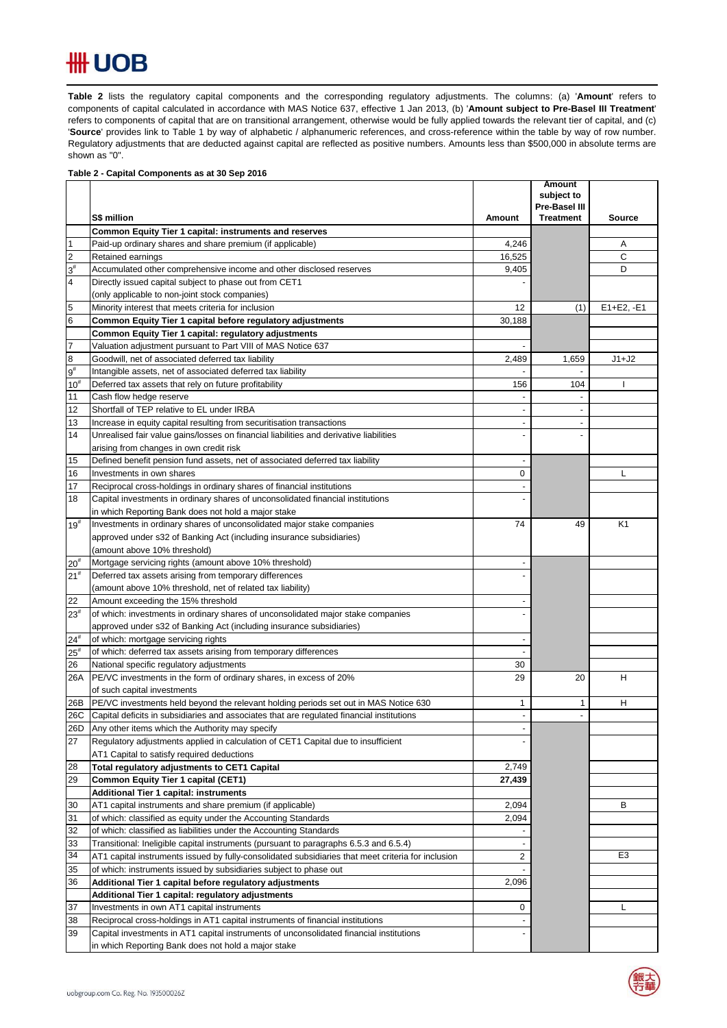## **## UOB**

**Table 2** lists the regulatory capital components and the corresponding regulatory adjustments. The columns: (a) '**Amount**' refers to components of capital calculated in accordance with MAS Notice 637, effective 1 Jan 2013, (b) '**Amount subject to Pre-Basel III Treatment**' refers to components of capital that are on transitional arrangement, otherwise would be fully applied towards the relevant tier of capital, and (c) 'Source' provides link to Table 1 by way of alphabetic / alphanumeric references, and cross-reference within the table by way of row number. Regulatory adjustments that are deducted against capital are reflected as positive numbers. Amounts less than \$500,000 in absolute terms are shown as "0".  $\mathsf{Table 2}$  lists the requlatory capital components and the corresponding requlatory adjustments. The collect

### **Table 2 - Capital Components as at 30 Sep 2016**

|                         |                                                                                                      |                | <b>Amount</b><br>subject to |                |
|-------------------------|------------------------------------------------------------------------------------------------------|----------------|-----------------------------|----------------|
|                         |                                                                                                      |                | Pre-Basel III               |                |
|                         | S\$ million                                                                                          | Amount         | <b>Treatment</b>            | <b>Source</b>  |
|                         | Common Equity Tier 1 capital: instruments and reserves                                               |                |                             |                |
| $\mathbf{1}$            | Paid-up ordinary shares and share premium (if applicable)                                            | 4,246          |                             | Α              |
| $\overline{2}$          | Retained earnings                                                                                    | 16,525         |                             | C              |
| $3^{\sharp}$            | Accumulated other comprehensive income and other disclosed reserves                                  | 9,405          |                             | D              |
| $\overline{\mathbf{4}}$ | Directly issued capital subject to phase out from CET1                                               |                |                             |                |
|                         | (only applicable to non-joint stock companies)                                                       |                |                             |                |
| $\overline{5}$          | Minority interest that meets criteria for inclusion                                                  | 12             | (1)                         | $E1 + E2, -E1$ |
| $6\phantom{a}$          | Common Equity Tier 1 capital before regulatory adjustments                                           | 30,188         |                             |                |
|                         | Common Equity Tier 1 capital: regulatory adjustments                                                 |                |                             |                |
| $\overline{7}$          | Valuation adjustment pursuant to Part VIII of MAS Notice 637                                         |                |                             |                |
| 8                       | Goodwill, net of associated deferred tax liability                                                   | 2,489          | 1,659                       | $J1+J2$        |
| $9^{\#}$                | Intangible assets, net of associated deferred tax liability                                          |                |                             |                |
| $10^{#}$                | Deferred tax assets that rely on future profitability                                                | 156            | 104                         |                |
| 11                      | Cash flow hedge reserve                                                                              |                |                             |                |
| 12                      | Shortfall of TEP relative to EL under IRBA                                                           | $\overline{a}$ | $\overline{\phantom{a}}$    |                |
| 13                      | Increase in equity capital resulting from securitisation transactions                                |                | $\blacksquare$              |                |
| 14                      | Unrealised fair value gains/losses on financial liabilities and derivative liabilities               |                |                             |                |
|                         | arising from changes in own credit risk                                                              |                |                             |                |
| 15                      | Defined benefit pension fund assets, net of associated deferred tax liability                        | $\overline{a}$ |                             |                |
| 16                      | Investments in own shares                                                                            | 0              |                             | L              |
| 17                      | Reciprocal cross-holdings in ordinary shares of financial institutions                               |                |                             |                |
| 18                      | Capital investments in ordinary shares of unconsolidated financial institutions                      |                |                             |                |
| $19^{#}$                | in which Reporting Bank does not hold a major stake                                                  | 74             | 49                          | K <sub>1</sub> |
|                         | Investments in ordinary shares of unconsolidated major stake companies                               |                |                             |                |
|                         | approved under s32 of Banking Act (including insurance subsidiaries)<br>(amount above 10% threshold) |                |                             |                |
| $20^{#}$                | Mortgage servicing rights (amount above 10% threshold)                                               |                |                             |                |
| 21 <sup>#</sup>         | Deferred tax assets arising from temporary differences                                               |                |                             |                |
|                         | (amount above 10% threshold, net of related tax liability)                                           |                |                             |                |
| 22                      | Amount exceeding the 15% threshold                                                                   |                |                             |                |
| $23^{\rm{*}}$           | of which: investments in ordinary shares of unconsolidated major stake companies                     |                |                             |                |
|                         | approved under s32 of Banking Act (including insurance subsidiaries)                                 |                |                             |                |
| $24^{#}$                | of which: mortgage servicing rights                                                                  | ٠              |                             |                |
| $25^{\rm \#}$           | of which: deferred tax assets arising from temporary differences                                     |                |                             |                |
| 26                      | National specific regulatory adjustments                                                             | 30             |                             |                |
| 26A                     | PE/VC investments in the form of ordinary shares, in excess of 20%                                   | 29             | 20                          | Н              |
|                         | of such capital investments                                                                          |                |                             |                |
| 26B                     | PE/VC investments held beyond the relevant holding periods set out in MAS Notice 630                 | 1              | 1                           | н              |
| 26C                     | Capital deficits in subsidiaries and associates that are regulated financial institutions            |                |                             |                |
| 26D                     | Any other items which the Authority may specify                                                      |                |                             |                |
| 27                      | Regulatory adjustments applied in calculation of CET1 Capital due to insufficient                    |                |                             |                |
|                         | AT1 Capital to satisfy required deductions                                                           |                |                             |                |
| 28                      | Total regulatory adjustments to CET1 Capital                                                         | 2,749          |                             |                |
| 29                      | Common Equity Tier 1 capital (CET1)                                                                  | 27,439         |                             |                |
|                         | <b>Additional Tier 1 capital: instruments</b>                                                        |                |                             |                |
| 30                      | AT1 capital instruments and share premium (if applicable)                                            | 2,094          |                             | в              |
| 31                      | of which: classified as equity under the Accounting Standards                                        | 2,094          |                             |                |
| 32                      | of which: classified as liabilities under the Accounting Standards                                   |                |                             |                |
| 33                      | Transitional: Ineligible capital instruments (pursuant to paragraphs 6.5.3 and 6.5.4)                |                |                             |                |
| 34                      | AT1 capital instruments issued by fully-consolidated subsidiaries that meet criteria for inclusion   | $\overline{c}$ |                             | E <sub>3</sub> |
| 35                      | of which: instruments issued by subsidiaries subject to phase out                                    |                |                             |                |
| 36                      | Additional Tier 1 capital before regulatory adjustments                                              | 2,096          |                             |                |
|                         | Additional Tier 1 capital: regulatory adjustments                                                    |                |                             |                |
| 37                      | Investments in own AT1 capital instruments                                                           | 0              |                             | L              |
| 38                      | Reciprocal cross-holdings in AT1 capital instruments of financial institutions                       |                |                             |                |
| 39                      | Capital investments in AT1 capital instruments of unconsolidated financial institutions              |                |                             |                |
|                         | in which Reporting Bank does not hold a major stake                                                  |                |                             |                |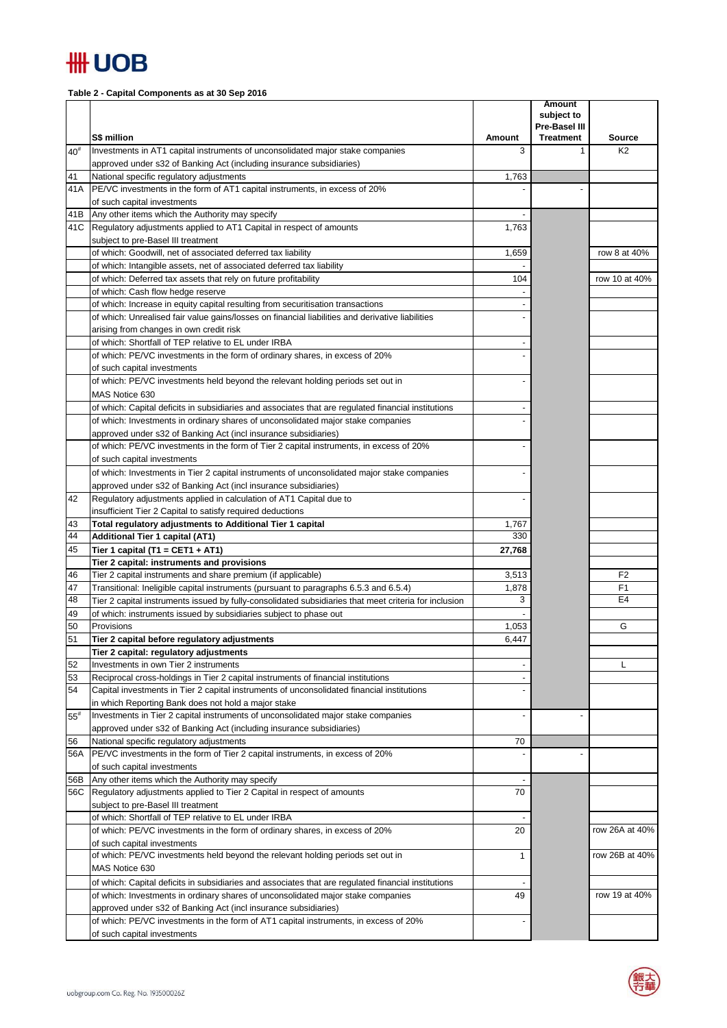## **HH UOB**

**Table 2 - Capital Components as at 30 Sep 2016**

|                   |                                                                                                                                                         |             | <b>Amount</b><br>subject to |                                 |
|-------------------|---------------------------------------------------------------------------------------------------------------------------------------------------------|-------------|-----------------------------|---------------------------------|
|                   |                                                                                                                                                         |             | Pre-Basel III               |                                 |
| $40^{\texttt{#}}$ | S\$ million<br>Investments in AT1 capital instruments of unconsolidated major stake companies                                                           | Amount<br>3 | <b>Treatment</b><br>1       | <b>Source</b><br>K <sub>2</sub> |
|                   | approved under s32 of Banking Act (including insurance subsidiaries)                                                                                    |             |                             |                                 |
| 41                | National specific regulatory adjustments                                                                                                                | 1,763       |                             |                                 |
| 41A               | PE/VC investments in the form of AT1 capital instruments, in excess of 20%                                                                              |             |                             |                                 |
|                   | of such capital investments                                                                                                                             |             |                             |                                 |
| 41B               | Any other items which the Authority may specify                                                                                                         |             |                             |                                 |
|                   | 41C Regulatory adjustments applied to AT1 Capital in respect of amounts                                                                                 | 1,763       |                             |                                 |
|                   | subject to pre-Basel III treatment<br>of which: Goodwill, net of associated deferred tax liability                                                      |             |                             | row 8 at 40%                    |
|                   | of which: Intangible assets, net of associated deferred tax liability                                                                                   | 1,659       |                             |                                 |
|                   | of which: Deferred tax assets that rely on future profitability                                                                                         | 104         |                             | row 10 at 40%                   |
|                   | of which: Cash flow hedge reserve                                                                                                                       |             |                             |                                 |
|                   | of which: Increase in equity capital resulting from securitisation transactions                                                                         |             |                             |                                 |
|                   | of which: Unrealised fair value gains/losses on financial liabilities and derivative liabilities                                                        |             |                             |                                 |
|                   | arising from changes in own credit risk                                                                                                                 |             |                             |                                 |
|                   | of which: Shortfall of TEP relative to EL under IRBA                                                                                                    |             |                             |                                 |
|                   | of which: PE/VC investments in the form of ordinary shares, in excess of 20%                                                                            |             |                             |                                 |
|                   | of such capital investments                                                                                                                             |             |                             |                                 |
|                   | of which: PE/VC investments held beyond the relevant holding periods set out in                                                                         |             |                             |                                 |
|                   | MAS Notice 630                                                                                                                                          |             |                             |                                 |
|                   | of which: Capital deficits in subsidiaries and associates that are regulated financial institutions                                                     |             |                             |                                 |
|                   | of which: Investments in ordinary shares of unconsolidated major stake companies<br>approved under s32 of Banking Act (incl insurance subsidiaries)     |             |                             |                                 |
|                   | of which: PE/VC investments in the form of Tier 2 capital instruments, in excess of 20%                                                                 |             |                             |                                 |
|                   | of such capital investments                                                                                                                             |             |                             |                                 |
|                   | of which: Investments in Tier 2 capital instruments of unconsolidated major stake companies                                                             |             |                             |                                 |
|                   | approved under s32 of Banking Act (incl insurance subsidiaries)                                                                                         |             |                             |                                 |
| 42                | Regulatory adjustments applied in calculation of AT1 Capital due to                                                                                     |             |                             |                                 |
|                   | insufficient Tier 2 Capital to satisfy required deductions                                                                                              |             |                             |                                 |
| 43                | Total regulatory adjustments to Additional Tier 1 capital                                                                                               | 1,767       |                             |                                 |
| 44                | <b>Additional Tier 1 capital (AT1)</b>                                                                                                                  | 330         |                             |                                 |
| 45                | Tier 1 capital (T1 = CET1 + AT1)                                                                                                                        | 27,768      |                             |                                 |
|                   | Tier 2 capital: instruments and provisions                                                                                                              | 3,513       |                             | F <sub>2</sub>                  |
| 46<br>47          | Tier 2 capital instruments and share premium (if applicable)<br>Transitional: Ineligible capital instruments (pursuant to paragraphs 6.5.3 and 6.5.4)   | 1,878       |                             | F <sub>1</sub>                  |
| 48                | Tier 2 capital instruments issued by fully-consolidated subsidiaries that meet criteria for inclusion                                                   | 3           |                             | E4                              |
| 49                | of which: instruments issued by subsidiaries subject to phase out                                                                                       |             |                             |                                 |
| 50                | Provisions                                                                                                                                              | 1,053       |                             | G                               |
| 51                | Tier 2 capital before regulatory adjustments                                                                                                            | 6,447       |                             |                                 |
|                   | Tier 2 capital: regulatory adjustments                                                                                                                  |             |                             |                                 |
| 52                | Investments in own Tier 2 instruments                                                                                                                   |             |                             | L                               |
| 53                | Reciprocal cross-holdings in Tier 2 capital instruments of financial institutions                                                                       |             |                             |                                 |
| 54                | Capital investments in Tier 2 capital instruments of unconsolidated financial institutions                                                              |             |                             |                                 |
|                   | in which Reporting Bank does not hold a major stake                                                                                                     |             |                             |                                 |
| $55^{\rm #}$      | Investments in Tier 2 capital instruments of unconsolidated major stake companies                                                                       |             |                             |                                 |
| 56                | approved under s32 of Banking Act (including insurance subsidiaries)<br>National specific regulatory adjustments                                        | 70          |                             |                                 |
| 56A               | PE/VC investments in the form of Tier 2 capital instruments, in excess of 20%                                                                           |             |                             |                                 |
|                   | of such capital investments                                                                                                                             |             |                             |                                 |
| 56B               | Any other items which the Authority may specify                                                                                                         |             |                             |                                 |
|                   | 56C Regulatory adjustments applied to Tier 2 Capital in respect of amounts                                                                              | 70          |                             |                                 |
|                   | subject to pre-Basel III treatment                                                                                                                      |             |                             |                                 |
|                   | of which: Shortfall of TEP relative to EL under IRBA                                                                                                    |             |                             |                                 |
|                   | of which: PE/VC investments in the form of ordinary shares, in excess of 20%                                                                            | 20          |                             | row 26A at 40%                  |
|                   | of such capital investments                                                                                                                             |             |                             |                                 |
|                   | of which: PE/VC investments held beyond the relevant holding periods set out in                                                                         | 1           |                             | row 26B at 40%                  |
|                   | MAS Notice 630                                                                                                                                          |             |                             |                                 |
|                   | of which: Capital deficits in subsidiaries and associates that are regulated financial institutions                                                     |             |                             |                                 |
|                   | of which: Investments in ordinary shares of unconsolidated major stake companies                                                                        | 49          |                             | row 19 at 40%                   |
|                   | approved under s32 of Banking Act (incl insurance subsidiaries)<br>of which: PE/VC investments in the form of AT1 capital instruments, in excess of 20% |             |                             |                                 |
|                   | of such capital investments                                                                                                                             |             |                             |                                 |